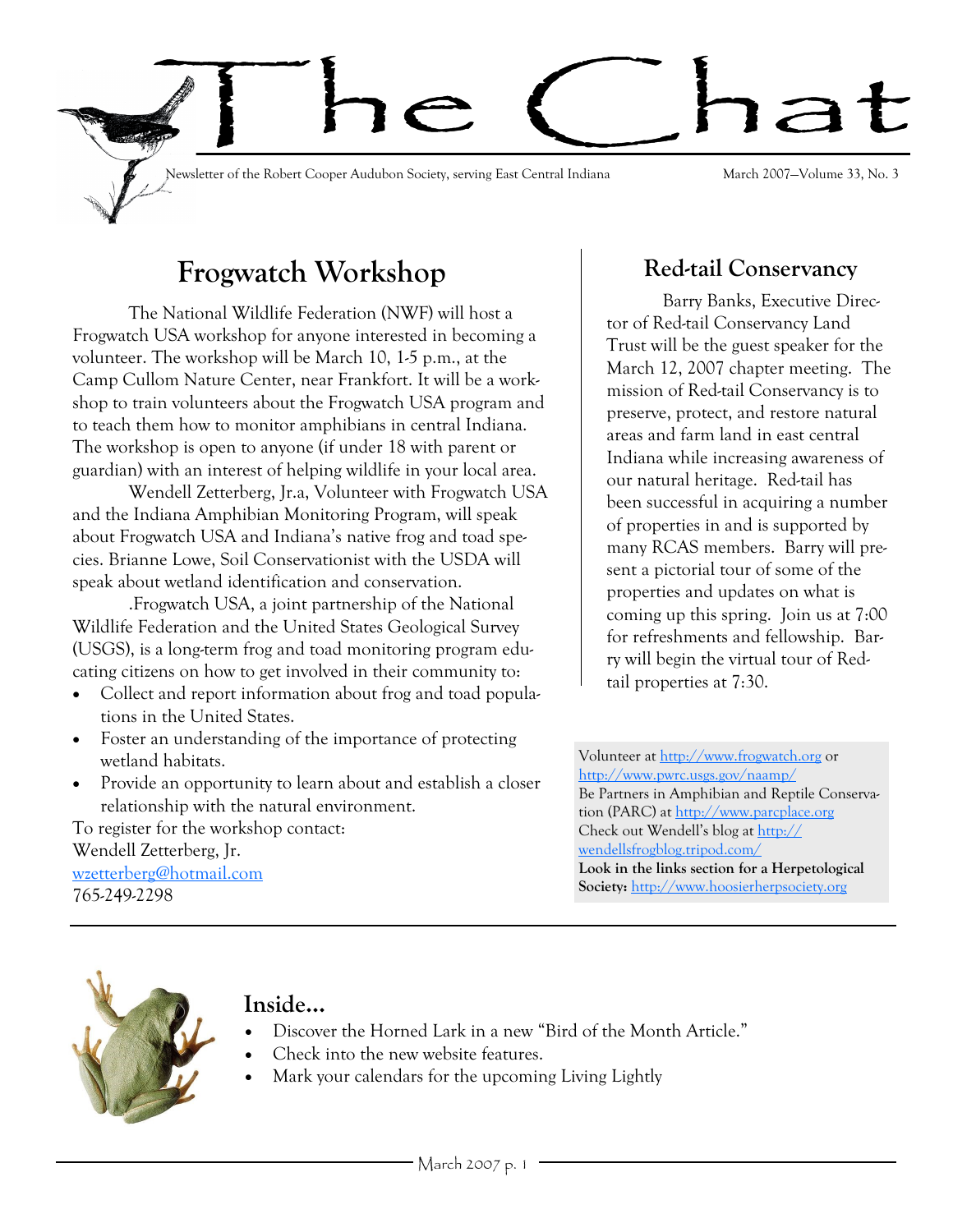

# **Frogwatch Workshop**

The National Wildlife Federation (NWF) will host a Frogwatch USA workshop for anyone interested in becoming a volunteer. The workshop will be March 10, 1-5 p.m., at the Camp Cullom Nature Center, near Frankfort. It will be a workshop to train volunteers about the Frogwatch USA program and to teach them how to monitor amphibians in central Indiana. The workshop is open to anyone (if under 18 with parent or guardian) with an interest of helping wildlife in your local area.

Wendell Zetterberg, Jr.a, Volunteer with Frogwatch USA and the Indiana Amphibian Monitoring Program, will speak about Frogwatch USA and Indiana's native frog and toad species. Brianne Lowe, Soil Conservationist with the USDA will speak about wetland identification and conservation.

.Frogwatch USA, a joint partnership of the National Wildlife Federation and the United States Geological Survey (USGS), is a long-term frog and toad monitoring program educating citizens on how to get involved in their community to:

- Collect and report information about frog and toad populations in the United States.
- Foster an understanding of the importance of protecting wetland habitats.
- Provide an opportunity to learn about and establish a closer relationship with the natural environment.

To register for the workshop contact: Wendell Zetterberg, Jr. [wzetterberg@hotmail.com](mailto:wzetterberg@hotmail.com) 765-249-2298

## **Red-tail Conservancy**

Barry Banks, Executive Director of Red-tail Conservancy Land Trust will be the guest speaker for the March 12, 2007 chapter meeting. The mission of Red-tail Conservancy is to preserve, protect, and restore natural areas and farm land in east central Indiana while increasing awareness of our natural heritage. Red-tail has been successful in acquiring a number of properties in and is supported by many RCAS members. Barry will present a pictorial tour of some of the properties and updates on what is coming up this spring. Join us at 7:00 for refreshments and fellowship. Barry will begin the virtual tour of Redtail properties at 7:30.

Volunteer at<http://www.frogwatch.org> or <http://www.pwrc.usgs.gov/naamp/> Be Partners in Amphibian and Reptile Conservation (PARC) at<http://www.parcplace.org> Check out Wendell's blog at [http://](http://wendellsfrogblog.tripod.com/) [wendellsfrogblog.tripod.com/](http://wendellsfrogblog.tripod.com/) **Look in the links section for a Herpetological Society:** <http://www.hoosierherpsociety.org>



## **Inside...**

- Discover the Horned Lark in a new "Bird of the Month Article."
- Check into the new website features.
- Mark your calendars for the upcoming Living Lightly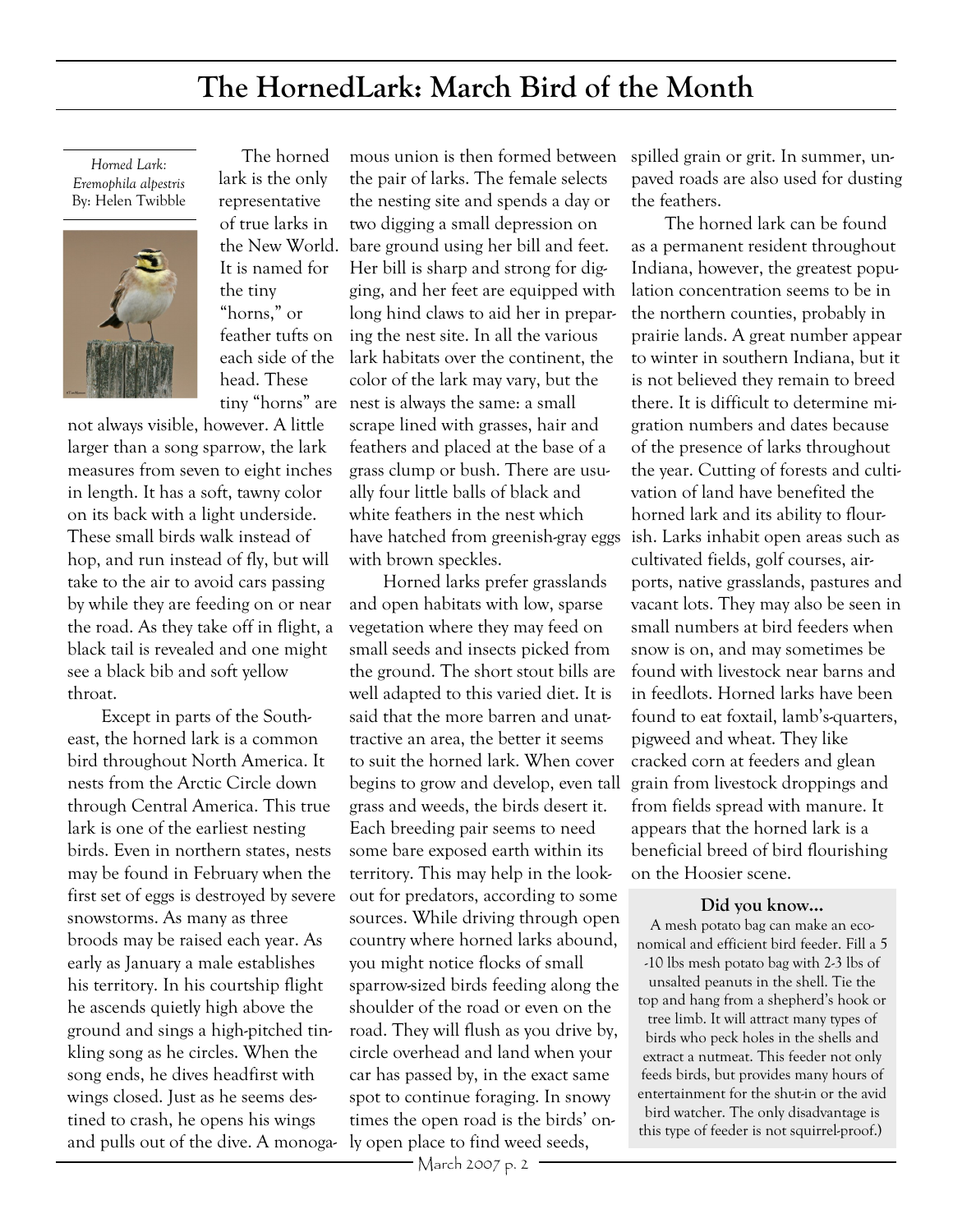## **The HornedLark: March Bird of the Month**

*Horned Lark: Eremophila alpestris* By: Helen Twibble



 The horned lark is the only representative

of true larks in It is named for the tiny "horns," or feather tufts on each side of the head. These

not always visible, however. A little larger than a song sparrow, the lark measures from seven to eight inches in length. It has a soft, tawny color on its back with a light underside. These small birds walk instead of hop, and run instead of fly, but will take to the air to avoid cars passing by while they are feeding on or near the road. As they take off in flight, a black tail is revealed and one might see a black bib and soft yellow throat.

Except in parts of the Southeast, the horned lark is a common bird throughout North America. It nests from the Arctic Circle down through Central America. This true lark is one of the earliest nesting birds. Even in northern states, nests may be found in February when the first set of eggs is destroyed by severe snowstorms. As many as three broods may be raised each year. As early as January a male establishes his territory. In his courtship flight he ascends quietly high above the ground and sings a high-pitched tinkling song as he circles. When the song ends, he dives headfirst with wings closed. Just as he seems destined to crash, he opens his wings and pulls out of the dive. A monoga-ly open place to find weed seeds,

the New World. bare ground using her bill and feet. tiny "horns" are nest is always the same: a small mous union is then formed between the pair of larks. The female selects the nesting site and spends a day or two digging a small depression on Her bill is sharp and strong for digging, and her feet are equipped with long hind claws to aid her in preparing the nest site. In all the various lark habitats over the continent, the color of the lark may vary, but the scrape lined with grasses, hair and feathers and placed at the base of a grass clump or bush. There are usually four little balls of black and white feathers in the nest which have hatched from greenish-gray eggs with brown speckles.

> Horned larks prefer grasslands and open habitats with low, sparse vegetation where they may feed on small seeds and insects picked from the ground. The short stout bills are well adapted to this varied diet. It is said that the more barren and unattractive an area, the better it seems to suit the horned lark. When cover begins to grow and develop, even tall grass and weeds, the birds desert it. Each breeding pair seems to need some bare exposed earth within its territory. This may help in the lookout for predators, according to some sources. While driving through open country where horned larks abound, you might notice flocks of small sparrow-sized birds feeding along the shoulder of the road or even on the road. They will flush as you drive by, circle overhead and land when your car has passed by, in the exact same spot to continue foraging. In snowy times the open road is the birds' on-

spilled grain or grit. In summer, unpaved roads are also used for dusting the feathers.

The horned lark can be found as a permanent resident throughout Indiana, however, the greatest population concentration seems to be in the northern counties, probably in prairie lands. A great number appear to winter in southern Indiana, but it is not believed they remain to breed there. It is difficult to determine migration numbers and dates because of the presence of larks throughout the year. Cutting of forests and cultivation of land have benefited the horned lark and its ability to flourish. Larks inhabit open areas such as cultivated fields, golf courses, airports, native grasslands, pastures and vacant lots. They may also be seen in small numbers at bird feeders when snow is on, and may sometimes be found with livestock near barns and in feedlots. Horned larks have been found to eat foxtail, lamb's-quarters, pigweed and wheat. They like cracked corn at feeders and glean grain from livestock droppings and from fields spread with manure. It appears that the horned lark is a beneficial breed of bird flourishing on the Hoosier scene.

#### **Did you know...**

A mesh potato bag can make an economical and efficient bird feeder. Fill a 5 -10 lbs mesh potato bag with 2-3 lbs of unsalted peanuts in the shell. Tie the top and hang from a shepherd's hook or tree limb. It will attract many types of birds who peck holes in the shells and extract a nutmeat. This feeder not only feeds birds, but provides many hours of entertainment for the shut-in or the avid bird watcher. The only disadvantage is this type of feeder is not squirrel-proof.)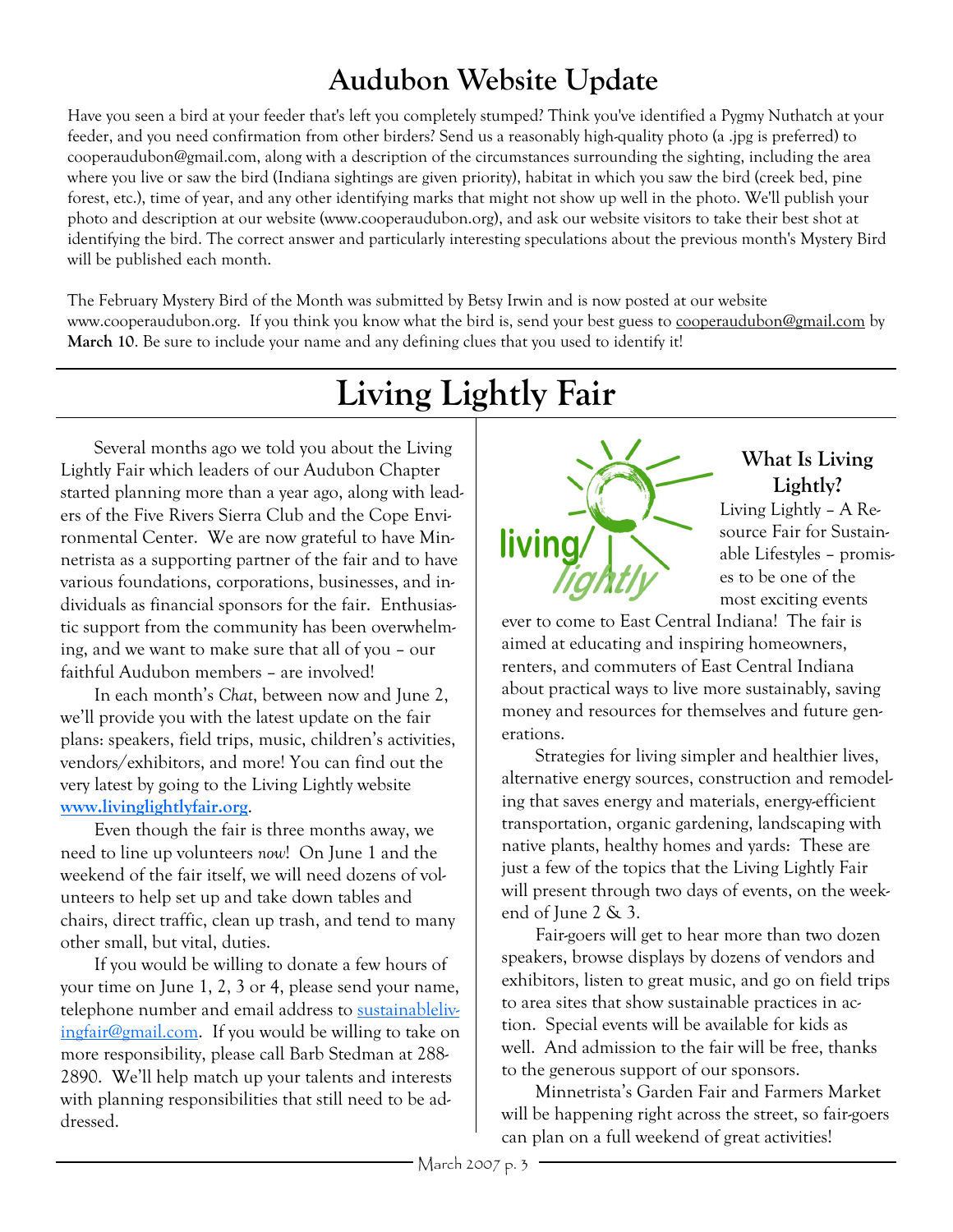# **Audubon Website Update**

Have you seen a bird at your feeder that's left you completely stumped? Think you've identified a Pygmy Nuthatch at your feeder, and you need confirmation from other birders? Send us a reasonably high-quality photo (a .jpg is preferred) to cooperaudubon@gmail.com, along with a description of the circumstances surrounding the sighting, including the area where you live or saw the bird (Indiana sightings are given priority), habitat in which you saw the bird (creek bed, pine forest, etc.), time of year, and any other identifying marks that might not show up well in the photo. We'll publish your photo and description at our website (www.cooperaudubon.org), and ask our website visitors to take their best shot at identifying the bird. The correct answer and particularly interesting speculations about the previous month's Mystery Bird will be published each month.

The February Mystery Bird of the Month was submitted by Betsy Irwin and is now posted at our website www.cooperaudubon.org. If you think you know what the bird is, send your best guess to cooperaudubon@gmail.com by **March 10**. Be sure to include your name and any defining clues that you used to identify it!

# **Living Lightly Fair**

Several months ago we told you about the Living Lightly Fair which leaders of our Audubon Chapter started planning more than a year ago, along with leaders of the Five Rivers Sierra Club and the Cope Environmental Center. We are now grateful to have Minnetrista as a supporting partner of the fair and to have various foundations, corporations, businesses, and individuals as financial sponsors for the fair. Enthusiastic support from the community has been overwhelming, and we want to make sure that all of you – our faithful Audubon members – are involved!

In each month's *Chat*, between now and June 2, we'll provide you with the latest update on the fair plans: speakers, field trips, music, children's activities, vendors/exhibitors, and more! You can find out the very latest by going to the Living Lightly website **[www.livinglightlyfair.org](http://www.livinglightlyfair.org)**.

Even though the fair is three months away, we need to line up volunteers *now*! On June 1 and the weekend of the fair itself, we will need dozens of volunteers to help set up and take down tables and chairs, direct traffic, clean up trash, and tend to many other small, but vital, duties.

If you would be willing to donate a few hours of your time on June 1, 2, 3 or 4, please send your name, telephone number and email address to [sustainableliv](mailto:sustainablelivingfair@gmail.com)[ingfair@gmail.com.](mailto:sustainablelivingfair@gmail.com) If you would be willing to take on more responsibility, please call Barb Stedman at 288- 2890. We'll help match up your talents and interests with planning responsibilities that still need to be addressed.



### **What Is Living Lightly?**

Living Lightly – A Resource Fair for Sustainable Lifestyles – promises to be one of the most exciting events

ever to come to East Central Indiana! The fair is aimed at educating and inspiring homeowners, renters, and commuters of East Central Indiana about practical ways to live more sustainably, saving money and resources for themselves and future generations.

Strategies for living simpler and healthier lives, alternative energy sources, construction and remodeling that saves energy and materials, energy-efficient transportation, organic gardening, landscaping with native plants, healthy homes and yards: These are just a few of the topics that the Living Lightly Fair will present through two days of events, on the weekend of June 2 & 3.

Fair-goers will get to hear more than two dozen speakers, browse displays by dozens of vendors and exhibitors, listen to great music, and go on field trips to area sites that show sustainable practices in action. Special events will be available for kids as well. And admission to the fair will be free, thanks to the generous support of our sponsors.

Minnetrista's Garden Fair and Farmers Market will be happening right across the street, so fair-goers can plan on a full weekend of great activities!